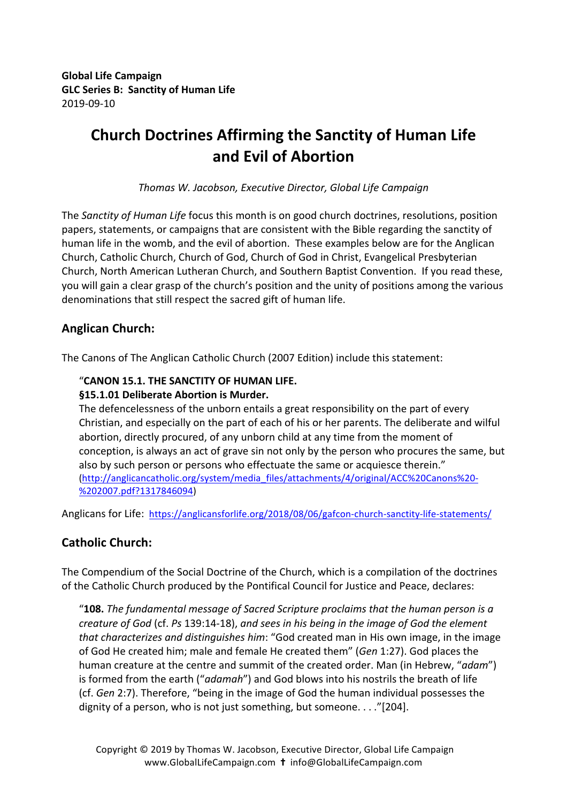**Global Life Campaign GLC Series B: Sanctity of Human Life** 2019-09-10

# **Church Doctrines Affirming the Sanctity of Human Life and Evil of Abortion**

*Thomas W. Jacobson, Executive Director, Global Life Campaign*

The *Sanctity of Human Life* focus this month is on good church doctrines, resolutions, position papers, statements, or campaigns that are consistent with the Bible regarding the sanctity of human life in the womb, and the evil of abortion. These examples below are for the Anglican Church, Catholic Church, Church of God, Church of God in Christ, Evangelical Presbyterian Church, North American Lutheran Church, and Southern Baptist Convention. If you read these, you will gain a clear grasp of the church's position and the unity of positions among the various denominations that still respect the sacred gift of human life.

# **Anglican Church:**

The Canons of The Anglican Catholic Church (2007 Edition) include this statement:

### "**CANON 15.1. THE SANCTITY OF HUMAN LIFE.**

#### **§15.1.01 Deliberate Abortion is Murder.**

The defencelessness of the unborn entails a great responsibility on the part of every Christian, and especially on the part of each of his or her parents. The deliberate and wilful abortion, directly procured, of any unborn child at any time from the moment of conception, is always an act of grave sin not only by the person who procures the same, but also by such person or persons who effectuate the same or acquiesce therein." (http://anglicancatholic.org/system/media\_files/attachments/4/original/ACC%20Canons%20- %202007.pdf?1317846094)

Anglicans for Life: https://anglicansforlife.org/2018/08/06/gafcon-church-sanctity-life-statements/

### **Catholic Church:**

The Compendium of the Social Doctrine of the Church, which is a compilation of the doctrines of the Catholic Church produced by the Pontifical Council for Justice and Peace, declares:

"108. The fundamental message of Sacred Scripture proclaims that the human person is a *creature of God* (cf. Ps 139:14-18), and sees in his being in the image of God the element *that characterizes and distinguishes him*: "God created man in His own image, in the image of God He created him; male and female He created them" (*Gen* 1:27). God places the human creature at the centre and summit of the created order. Man (in Hebrew, "adam") is formed from the earth ("*adamah*") and God blows into his nostrils the breath of life (cf. *Gen* 2:7). Therefore, "being in the image of God the human individual possesses the dignity of a person, who is not just something, but someone.  $\ldots$  "[204].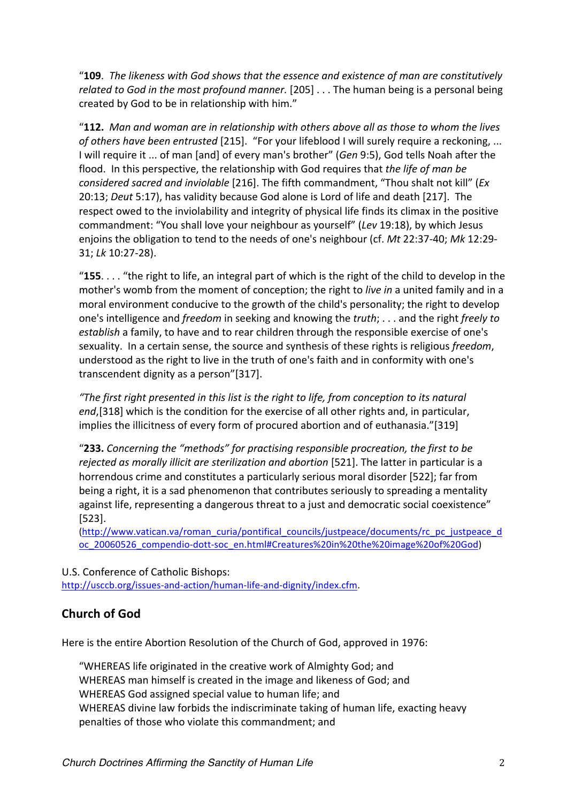"**109**. *The likeness with God shows that the essence and existence of man are constitutively related to God in the most profound manner.* [205] . . . The human being is a personal being created by God to be in relationship with him."

"**112.** Man and woman are in relationship with others above all as those to whom the lives *of others have been entrusted* [215]. "For your lifeblood I will surely require a reckoning, ... I will require it ... of man [and] of every man's brother" (*Gen* 9:5), God tells Noah after the flood. In this perspective, the relationship with God requires that *the life of man be considered sacred and inviolable* [216]. The fifth commandment, "Thou shalt not kill" (*Ex* 20:13; *Deut* 5:17), has validity because God alone is Lord of life and death [217]. The respect owed to the inviolability and integrity of physical life finds its climax in the positive commandment: "You shall love your neighbour as yourself" (*Lev* 19:18), by which Jesus enjoins the obligation to tend to the needs of one's neighbour (cf. *Mt* 22:37-40; Mk 12:29-31; *Lk* 10:27-28). 

"155. . . . "the right to life, an integral part of which is the right of the child to develop in the mother's womb from the moment of conception; the right to *live in* a united family and in a moral environment conducive to the growth of the child's personality; the right to develop one's intelligence and *freedom* in seeking and knowing the *truth*; . . . and the right *freely to* establish a family, to have and to rear children through the responsible exercise of one's sexuality. In a certain sense, the source and synthesis of these rights is religious *freedom*, understood as the right to live in the truth of one's faith and in conformity with one's transcendent dignity as a person"[317].

"The first right presented in this list is the right to life, from conception to its natural *end*,[318] which is the condition for the exercise of all other rights and, in particular, implies the illicitness of every form of procured abortion and of euthanasia."[319]

"233. Concerning the "methods" for practising responsible procreation, the first to be *rejected as morally illicit are sterilization and abortion* [521]. The latter in particular is a horrendous crime and constitutes a particularly serious moral disorder [522]; far from being a right, it is a sad phenomenon that contributes seriously to spreading a mentality against life, representing a dangerous threat to a just and democratic social coexistence" [523]. 

(http://www.vatican.va/roman\_curia/pontifical\_councils/justpeace/documents/rc\_pc\_justpeace\_d oc\_20060526\_compendio-dott-soc\_en.html#Creatures%20in%20the%20image%20of%20God)

U.S. Conference of Catholic Bishops: http://usccb.org/issues-and-action/human-life-and-dignity/index.cfm.

# **Church of God**

Here is the entire Abortion Resolution of the Church of God, approved in 1976:

"WHEREAS life originated in the creative work of Almighty God; and WHEREAS man himself is created in the image and likeness of God; and WHEREAS God assigned special value to human life; and WHEREAS divine law forbids the indiscriminate taking of human life, exacting heavy penalties of those who violate this commandment; and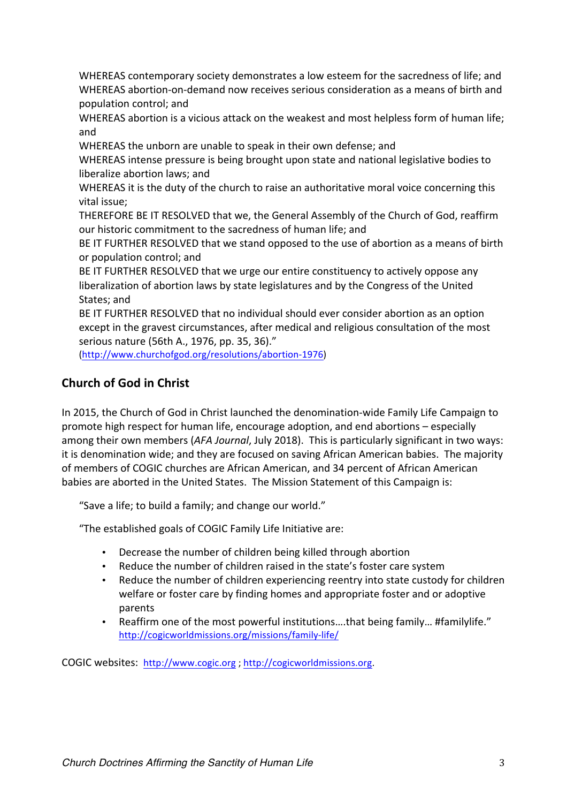WHEREAS contemporary society demonstrates a low esteem for the sacredness of life; and WHEREAS abortion-on-demand now receives serious consideration as a means of birth and population control; and

WHEREAS abortion is a vicious attack on the weakest and most helpless form of human life; and

WHEREAS the unborn are unable to speak in their own defense; and

WHEREAS intense pressure is being brought upon state and national legislative bodies to liberalize abortion laws: and

WHEREAS it is the duty of the church to raise an authoritative moral voice concerning this vital issue:

THEREFORE BE IT RESOLVED that we, the General Assembly of the Church of God, reaffirm our historic commitment to the sacredness of human life; and

BE IT FURTHER RESOLVED that we stand opposed to the use of abortion as a means of birth or population control; and

BE IT FURTHER RESOLVED that we urge our entire constituency to actively oppose any liberalization of abortion laws by state legislatures and by the Congress of the United States: and

BE IT FURTHER RESOLVED that no individual should ever consider abortion as an option except in the gravest circumstances, after medical and religious consultation of the most serious nature (56th A., 1976, pp. 35, 36)."

(http://www.churchofgod.org/resolutions/abortion-1976)

# **Church of God in Christ**

In 2015, the Church of God in Christ launched the denomination-wide Family Life Campaign to promote high respect for human life, encourage adoption, and end abortions – especially among their own members (AFA Journal, July 2018). This is particularly significant in two ways: it is denomination wide; and they are focused on saving African American babies. The majority of members of COGIC churches are African American, and 34 percent of African American babies are aborted in the United States. The Mission Statement of this Campaign is:

"Save a life; to build a family; and change our world."

"The established goals of COGIC Family Life Initiative are:

- Decrease the number of children being killed through abortion
- Reduce the number of children raised in the state's foster care system
- Reduce the number of children experiencing reentry into state custody for children welfare or foster care by finding homes and appropriate foster and or adoptive parents
- Reaffirm one of the most powerful institutions....that being family... #familylife." http://cogicworldmissions.org/missions/family-life/

COGIC websites: http://www.cogic.org ; http://cogicworldmissions.org.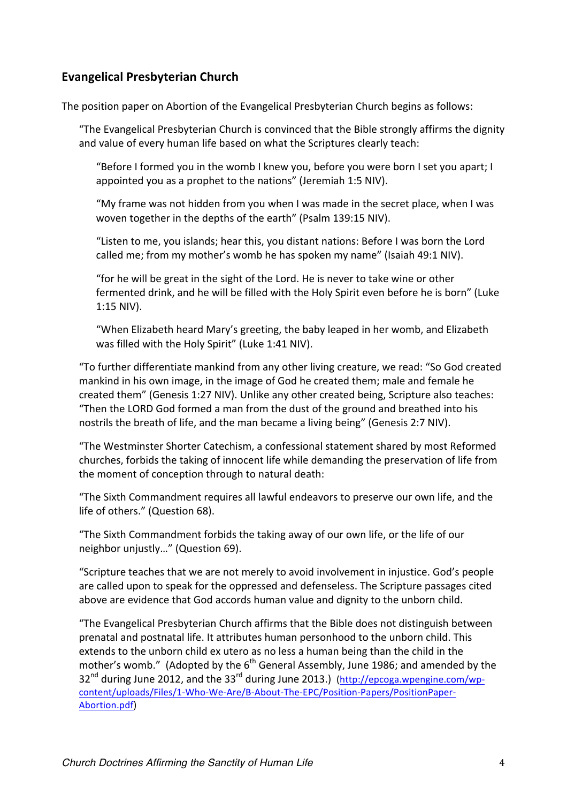# **Evangelical Presbyterian Church**

The position paper on Abortion of the Evangelical Presbyterian Church begins as follows:

"The Evangelical Presbyterian Church is convinced that the Bible strongly affirms the dignity and value of every human life based on what the Scriptures clearly teach:

"Before I formed you in the womb I knew you, before you were born I set you apart; I appointed you as a prophet to the nations" (Jeremiah 1:5 NIV).

"My frame was not hidden from you when I was made in the secret place, when I was woven together in the depths of the earth" (Psalm 139:15 NIV).

"Listen to me, you islands; hear this, you distant nations: Before I was born the Lord called me; from my mother's womb he has spoken my name" (Isaiah 49:1 NIV).

"for he will be great in the sight of the Lord. He is never to take wine or other fermented drink, and he will be filled with the Holy Spirit even before he is born" (Luke 1:15 NIV). 

"When Elizabeth heard Mary's greeting, the baby leaped in her womb, and Elizabeth was filled with the Holy Spirit" (Luke 1:41 NIV).

"To further differentiate mankind from any other living creature, we read: "So God created mankind in his own image, in the image of God he created them; male and female he created them" (Genesis 1:27 NIV). Unlike any other created being, Scripture also teaches: "Then the LORD God formed a man from the dust of the ground and breathed into his nostrils the breath of life, and the man became a living being" (Genesis 2:7 NIV).

"The Westminster Shorter Catechism, a confessional statement shared by most Reformed churches, forbids the taking of innocent life while demanding the preservation of life from the moment of conception through to natural death:

"The Sixth Commandment requires all lawful endeavors to preserve our own life, and the life of others." (Question 68).

"The Sixth Commandment forbids the taking away of our own life, or the life of our neighbor uniustly..." (Question 69).

"Scripture teaches that we are not merely to avoid involvement in injustice. God's people are called upon to speak for the oppressed and defenseless. The Scripture passages cited above are evidence that God accords human value and dignity to the unborn child.

"The Evangelical Presbyterian Church affirms that the Bible does not distinguish between prenatal and postnatal life. It attributes human personhood to the unborn child. This extends to the unborn child ex utero as no less a human being than the child in the mother's womb." (Adopted by the  $6<sup>th</sup>$  General Assembly, June 1986; and amended by the  $32<sup>nd</sup>$  during June 2012, and the  $33<sup>rd</sup>$  during June 2013.) (http://epcoga.wpengine.com/wpcontent/uploads/Files/1-Who-We-Are/B-About-The-EPC/Position-Papers/PositionPaper-Abortion.pdf)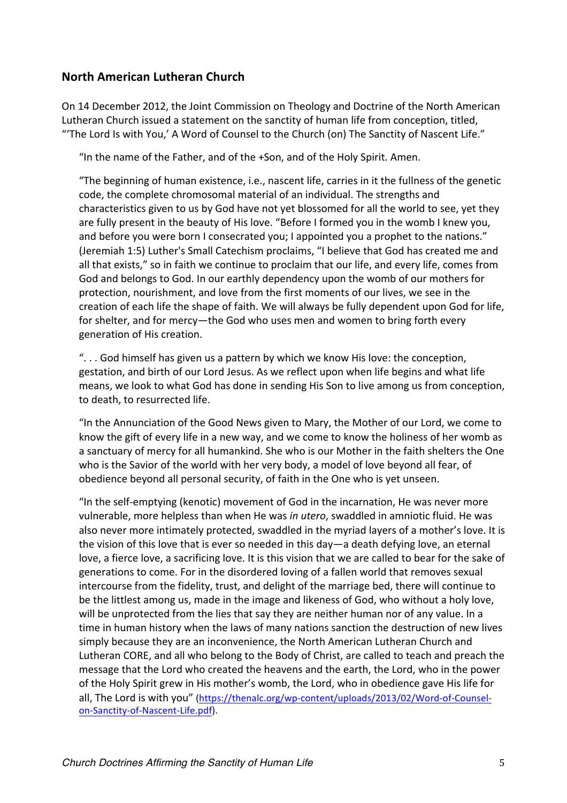## **North American Lutheran Church**

On 14 December 2012, the Joint Commission on Theology and Doctrine of the North American Lutheran Church issued a statement on the sanctity of human life from conception, titled, "The Lord Is with You,' A Word of Counsel to the Church (on) The Sanctity of Nascent Life."

"In the name of the Father, and of the +Son, and of the Holy Spirit. Amen.

"The beginning of human existence, i.e., nascent life, carries in it the fullness of the genetic code, the complete chromosomal material of an individual. The strengths and characteristics given to us by God have not yet blossomed for all the world to see, yet they are fully present in the beauty of His love. "Before I formed you in the womb I knew you, and before you were born I consecrated you; I appointed you a prophet to the nations." (Jeremiah 1:5) Luther's Small Catechism proclaims, "I believe that God has created me and all that exists," so in faith we continue to proclaim that our life, and every life, comes from God and belongs to God. In our earthly dependency upon the womb of our mothers for protection, nourishment, and love from the first moments of our lives, we see in the creation of each life the shape of faith. We will always be fully dependent upon God for life, for shelter, and for mercy-the God who uses men and women to bring forth every generation of His creation.

"... God himself has given us a pattern by which we know His love: the conception, gestation, and birth of our Lord Jesus. As we reflect upon when life begins and what life means, we look to what God has done in sending His Son to live among us from conception, to death, to resurrected life.

"In the Annunciation of the Good News given to Mary, the Mother of our Lord, we come to know the gift of every life in a new way, and we come to know the holiness of her womb as a sanctuary of mercy for all humankind. She who is our Mother in the faith shelters the One who is the Savior of the world with her very body, a model of love beyond all fear, of obedience beyond all personal security, of faith in the One who is yet unseen.

"In the self-emptying (kenotic) movement of God in the incarnation, He was never more vulnerable, more helpless than when He was *in utero*, swaddled in amniotic fluid. He was also never more intimately protected, swaddled in the myriad layers of a mother's love. It is the vision of this love that is ever so needed in this day—a death defying love, an eternal love, a fierce love, a sacrificing love. It is this vision that we are called to bear for the sake of generations to come. For in the disordered loving of a fallen world that removes sexual intercourse from the fidelity, trust, and delight of the marriage bed, there will continue to be the littlest among us, made in the image and likeness of God, who without a holy love, will be unprotected from the lies that say they are neither human nor of any value. In a time in human history when the laws of many nations sanction the destruction of new lives simply because they are an inconvenience, the North American Lutheran Church and Lutheran CORE, and all who belong to the Body of Christ, are called to teach and preach the message that the Lord who created the heavens and the earth, the Lord, who in the power of the Holy Spirit grew in His mother's womb, the Lord, who in obedience gave His life for all, The Lord is with you" (https://thenalc.org/wp-content/uploads/2013/02/Word-of-Counselon-Sanctity-of-Nascent-Life.pdf).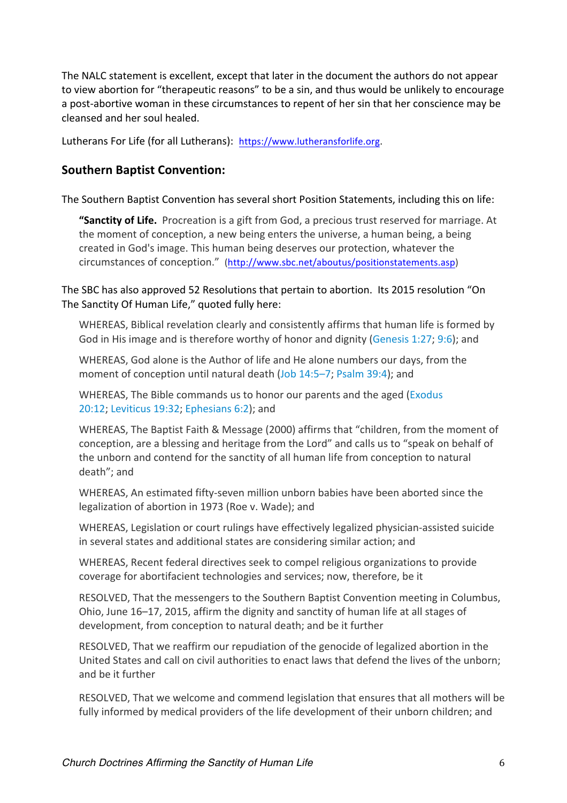The NALC statement is excellent, except that later in the document the authors do not appear to view abortion for "therapeutic reasons" to be a sin, and thus would be unlikely to encourage a post-abortive woman in these circumstances to repent of her sin that her conscience may be cleansed and her soul healed. 

Lutherans For Life (for all Lutherans): https://www.lutheransforlife.org.

### **Southern Baptist Convention:**

The Southern Baptist Convention has several short Position Statements, including this on life:

**"Sanctity of Life.** Procreation is a gift from God, a precious trust reserved for marriage. At the moment of conception, a new being enters the universe, a human being, a being created in God's image. This human being deserves our protection, whatever the circumstances of conception." (http://www.sbc.net/aboutus/positionstatements.asp)

The SBC has also approved 52 Resolutions that pertain to abortion. Its 2015 resolution "On The Sanctity Of Human Life," quoted fully here:

WHEREAS, Biblical revelation clearly and consistently affirms that human life is formed by God in His image and is therefore worthy of honor and dignity (Genesis 1:27; 9:6); and

WHEREAS, God alone is the Author of life and He alone numbers our days, from the moment of conception until natural death (Job 14:5–7; Psalm 39:4); and

WHEREAS, The Bible commands us to honor our parents and the aged (Exodus 20:12; Leviticus 19:32; Ephesians 6:2); and

WHEREAS. The Baptist Faith & Message (2000) affirms that "children, from the moment of conception, are a blessing and heritage from the Lord" and calls us to "speak on behalf of the unborn and contend for the sanctity of all human life from conception to natural death"; and

WHEREAS, An estimated fifty-seven million unborn babies have been aborted since the legalization of abortion in 1973 (Roe v. Wade); and

WHEREAS, Legislation or court rulings have effectively legalized physician-assisted suicide in several states and additional states are considering similar action; and

WHEREAS, Recent federal directives seek to compel religious organizations to provide coverage for abortifacient technologies and services; now, therefore, be it

RESOLVED, That the messengers to the Southern Baptist Convention meeting in Columbus, Ohio, June 16–17, 2015, affirm the dignity and sanctity of human life at all stages of development, from conception to natural death; and be it further

RESOLVED, That we reaffirm our repudiation of the genocide of legalized abortion in the United States and call on civil authorities to enact laws that defend the lives of the unborn; and be it further

RESOLVED, That we welcome and commend legislation that ensures that all mothers will be fully informed by medical providers of the life development of their unborn children; and